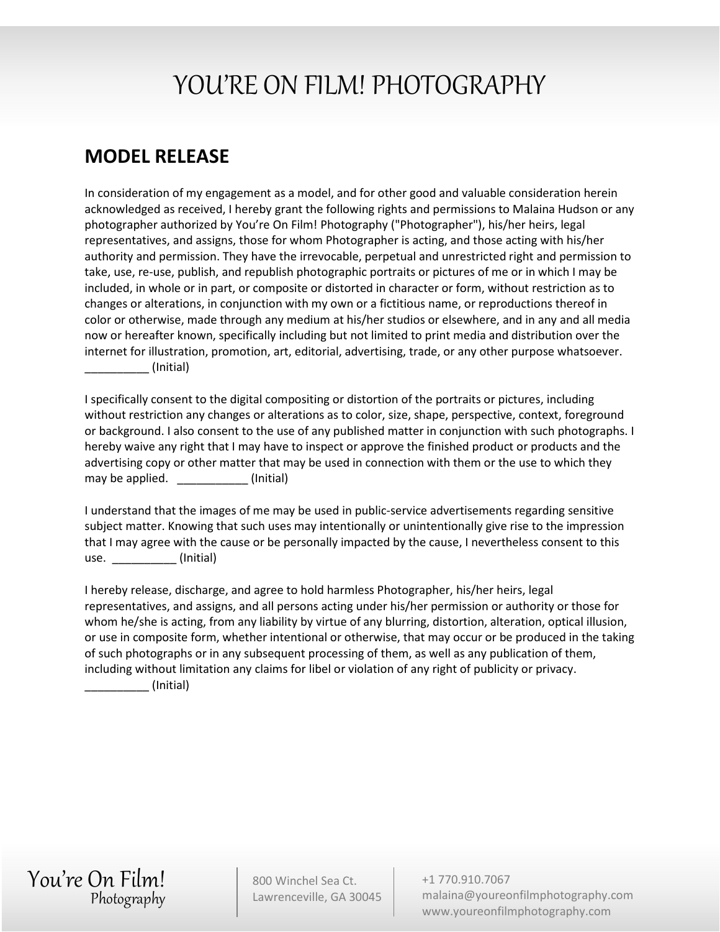## YOU'RE ON FILM! PHOTOGRAPHY

## **MODEL RELEASE**

In consideration of my engagement as a model, and for other good and valuable consideration herein acknowledged as received, I hereby grant the following rights and permissions to Malaina Hudson or any photographer authorized by You're On Film! Photography ("Photographer"), his/her heirs, legal representatives, and assigns, those for whom Photographer is acting, and those acting with his/her authority and permission. They have the irrevocable, perpetual and unrestricted right and permission to take, use, re-use, publish, and republish photographic portraits or pictures of me or in which I may be included, in whole or in part, or composite or distorted in character or form, without restriction as to changes or alterations, in conjunction with my own or a fictitious name, or reproductions thereof in color or otherwise, made through any medium at his/her studios or elsewhere, and in any and all media now or hereafter known, specifically including but not limited to print media and distribution over the internet for illustration, promotion, art, editorial, advertising, trade, or any other purpose whatsoever. \_\_\_\_\_\_\_\_\_\_ (Initial)

I specifically consent to the digital compositing or distortion of the portraits or pictures, including without restriction any changes or alterations as to color, size, shape, perspective, context, foreground or background. I also consent to the use of any published matter in conjunction with such photographs. I hereby waive any right that I may have to inspect or approve the finished product or products and the advertising copy or other matter that may be used in connection with them or the use to which they may be applied.  $\sqrt{2}$  (Initial)

I understand that the images of me may be used in public-service advertisements regarding sensitive subject matter. Knowing that such uses may intentionally or unintentionally give rise to the impression that I may agree with the cause or be personally impacted by the cause, I nevertheless consent to this use. (Initial)

I hereby release, discharge, and agree to hold harmless Photographer, his/her heirs, legal representatives, and assigns, and all persons acting under his/her permission or authority or those for whom he/she is acting, from any liability by virtue of any blurring, distortion, alteration, optical illusion, or use in composite form, whether intentional or otherwise, that may occur or be produced in the taking of such photographs or in any subsequent processing of them, as well as any publication of them, including without limitation any claims for libel or violation of any right of publicity or privacy.

\_\_\_\_\_\_\_\_\_\_ (Initial)

You're On Film! Photography

800 Winchel Sea Ct. Lawrenceville, GA 30045 +1 770.910.7067 malaina@youreonfilmphotography.com www.youreonfilmphotography.com